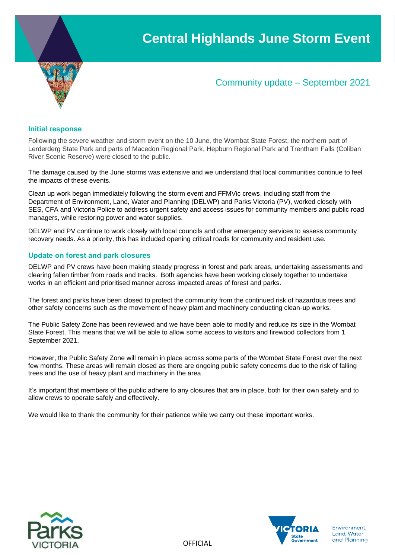

# Community update – September 2021

### **Initial response**

Following the severe weather and storm event on the 10 June, the Wombat State Forest, the northern part of Lerderderg State Park and parts of Macedon Regional Park, Hepburn Regional Park and Trentham Falls (Coliban River Scenic Reserve) were closed to the public.

The damage caused by the June storms was extensive and we understand that local communities continue to feel the impacts of these events.

Clean up work began immediately following the storm event and FFMVic crews, including staff from the Department of Environment, Land, Water and Planning (DELWP) and Parks Victoria (PV), worked closely with SES, CFA and Victoria Police to address urgent safety and access issues for community members and public road managers, while restoring power and water supplies.

DELWP and PV continue to work closely with local councils and other emergency services to assess community recovery needs. As a priority, this has included opening critical roads for community and resident use.

## **Update on forest and park closures**

DELWP and PV crews have been making steady progress in forest and park areas, undertaking assessments and clearing fallen timber from roads and tracks. Both agencies have been working closely together to undertake works in an efficient and prioritised manner across impacted areas of forest and parks.

The forest and parks have been closed to protect the community from the continued risk of hazardous trees and other safety concerns such as the movement of heavy plant and machinery conducting clean-up works.

The Public Safety Zone has been reviewed and we have been able to modify and reduce its size in the Wombat State Forest. This means that we will be able to allow some access to visitors and firewood collectors from 1 September 2021.

However, the Public Safety Zone will remain in place across some parts of the Wombat State Forest over the next few months. These areas will remain closed as there are ongoing public safety concerns due to the risk of falling trees and the use of heavy plant and machinery in the area.

It's important that members of the public adhere to any closures that are in place, both for their own safety and to allow crews to operate safely and effectively.

We would like to thank the community for their patience while we carry out these important works.



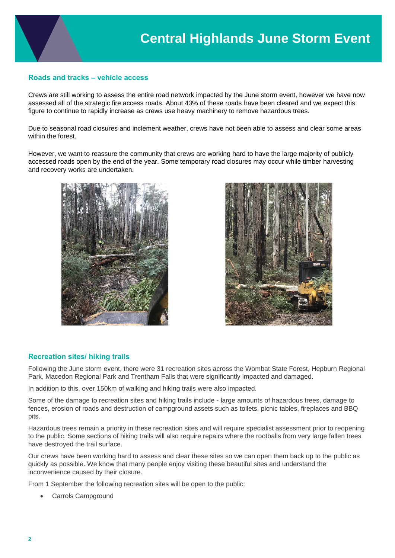# **Roads and tracks – vehicle access**

Crews are still working to assess the entire road network impacted by the June storm event, however we have now assessed all of the strategic fire access roads. About 43% of these roads have been cleared and we expect this figure to continue to rapidly increase as crews use heavy machinery to remove hazardous trees.

Due to seasonal road closures and inclement weather, crews have not been able to assess and clear some areas within the forest.

However, we want to reassure the community that crews are working hard to have the large majority of publicly accessed roads open by the end of the year. Some temporary road closures may occur while timber harvesting and recovery works are undertaken.





## **Recreation sites/ hiking trails**

Following the June storm event, there were 31 recreation sites across the Wombat State Forest, Hepburn Regional Park, Macedon Regional Park and Trentham Falls that were significantly impacted and damaged.

In addition to this, over 150km of walking and hiking trails were also impacted.

Some of the damage to recreation sites and hiking trails include - large amounts of hazardous trees, damage to fences, erosion of roads and destruction of campground assets such as toilets, picnic tables, fireplaces and BBQ pits.

Hazardous trees remain a priority in these recreation sites and will require specialist assessment prior to reopening to the public. Some sections of hiking trails will also require repairs where the rootballs from very large fallen trees have destroyed the trail surface.

Our crews have been working hard to assess and clear these sites so we can open them back up to the public as quickly as possible. We know that many people enjoy visiting these beautiful sites and understand the inconvenience caused by their closure.

From 1 September the following recreation sites will be open to the public:

• Carrols Campground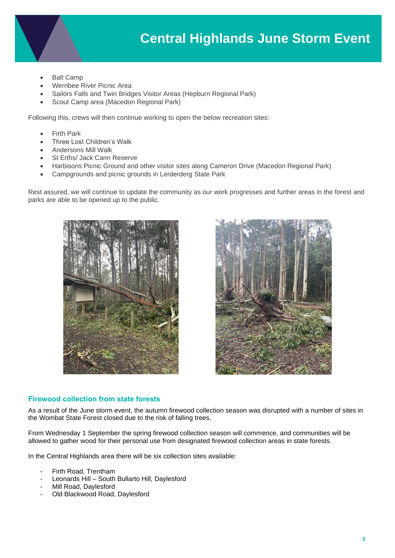

- **Balt Camp**
- Werribee River Picnic Area
- Sailors Falls and Twin Bridges Visitor Areas (Hepburn Regional Park)
- Scout Camp area (Macedon Regional Park)

Following this, crews will then continue working to open the below recreation sites:

- **Firth Park**
- Three Lost Children's Walk
- Andersons Mill Walk
- St Erths/ Jack Cann Reserve
- Harbisons Picnic Ground and other visitor sites along Cameron Drive (Macedon Regional Park)
- Campgrounds and picnic grounds in Lerderderg State Park

Rest assured, we will continue to update the community as our work progresses and further areas in the forest and parks are able to be opened up to the public.





## **Firewood collection from state forests**

As a result of the June storm event, the autumn firewood collection season was disrupted with a number of sites in the Wombat State Forest closed due to the risk of falling trees.

From Wednesday 1 September the spring firewood collection season will commence, and communities will be allowed to gather wood for their personal use from designated firewood collection areas in state forests.

In the Central Highlands area there will be six collection sites available:

- Firth Road, Trentham
- Leonards Hill South Bullarto Hill, Daylesford
- Mill Road, Daylesford
- Old Blackwood Road, Daylesford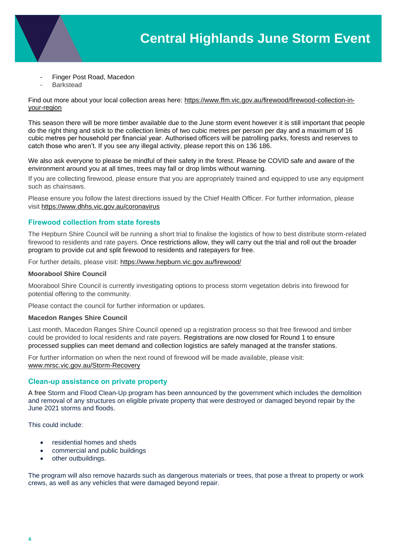- Finger Post Road, Macedon
- **Barkstead**

Find out more about your local collection areas here: [https://www.ffm.vic.gov.au/firewood/firewood-collection-in](https://www.ffm.vic.gov.au/firewood/firewood-collection-in-your-region)[your-region](https://www.ffm.vic.gov.au/firewood/firewood-collection-in-your-region)

This season there will be more timber available due to the June storm event however it is still important that people do the right thing and stick to the collection limits of two cubic metres per person per day and a maximum of 16 cubic metres per household per financial year. Authorised officers will be patrolling parks, forests and reserves to catch those who aren't. If you see any illegal activity, please report this on 136 186.

We also ask everyone to please be mindful of their safety in the forest. Please be COVID safe and aware of the environment around you at all times, trees may fall or drop limbs without warning.

If you are collecting firewood, please ensure that you are appropriately trained and equipped to use any equipment such as chainsaws.

Please ensure you follow the latest directions issued by the Chief Health Officer. For further information, please visit<https://www.dhhs.vic.gov.au/coronavirus>

# **Firewood collection from state forests**

The Hepburn Shire Council will be running a short trial to finalise the logistics of how to best distribute storm-related firewood to residents and rate payers. Once restrictions allow, they will carry out the trial and roll out the broader program to provide cut and split firewood to residents and ratepayers for free.

For further details, please visit:<https://www.hepburn.vic.gov.au/firewood/>

### **Moorabool Shire Council**

Moorabool Shire Council is currently investigating options to process storm vegetation debris into firewood for potential offering to the community.

Please contact the council for further information or updates.

### **Macedon Ranges Shire Council**

Last month, Macedon Ranges Shire Council opened up a registration process so that free firewood and timber could be provided to local residents and rate payers. Registrations are now closed for Round 1 to ensure processed supplies can meet demand and collection logistics are safely managed at the transfer stations.

For further information on when the next round of firewood will be made available, please visit: [www.mrsc.vic.gov.au/Storm-Recovery](https://l.facebook.com/l.php?u=http%3A%2F%2Fwww.mrsc.vic.gov.au%2FStorm-Recovery%3Ffbclid%3DIwAR1ckPa2zs344TFjgDMgUubEhWK6G2Tzb66x10_AzLzbu_y_MwepXoBBPYQ&h=AT0oFyGXmdpu7yQqeEKo-4R3LXFIvVzHBAToAQxhJyITcjsfUDPBWnDCgZIJKbpC_T7vtqd1N_TGZ4F8o5pHl3tNgL_erVm9kfQX37JNUvPzxzuUsdwW-vIfdVjomjOQkHah&__tn__=-UK-R&c%5b0%5d=AT2RamaTxcda3W-kcU-rB0QhmUbJXctQt9mnx8djIh5Q7t4uwmjUly_ORUWUPZ51xP7K9QFXd0StXEZOhK6aMagpawpgapAew_0BdT9zL6uOgBHI54_70RJGrszxf2z8F1AnzPQSillRc_vtQTyWdrAXKu-c90CV0ZM3Jg2ZGJBonA)

## **Clean-up assistance on private property**

A free Storm and Flood Clean-Up program has been announced by the government which includes the demolition and removal of any structures on eligible private property that were destroyed or damaged beyond repair by the June 2021 storms and floods.

This could include:

- residential homes and sheds
- commercial and public buildings
- other outbuildings.

The program will also remove hazards such as dangerous materials or trees, that pose a threat to property or work crews, as well as any vehicles that were damaged beyond repair.